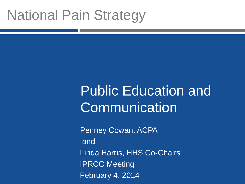# National Pain Strategy

# Public Education and **Communication**

Penney Cowan, ACPA and Linda Harris, HHS Co-Chairs IPRCC Meeting February 4, 2014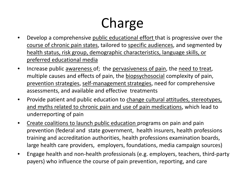# Charge

- Develop a comprehensive public educational effort that is progressive over the course of chronic pain states, tailored to specific audiences, and segmented by health status, risk group, demographic characteristics, language skills, or preferred educational media
- Increase public awareness of; the pervasiveness of pain, the need to treat, multiple causes and effects of pain, the biopsychosocial complexity of pain, prevention strategies, self-management strategies, need for comprehensive assessments, and available and effective treatments
- Provide patient and public education to change cultural attitudes, stereotypes, and myths related to chronic pain and use of pain medications, which lead to underreporting of pain
- Create coalitions to launch public education programs on pain and pain prevention (federal and state government, health insurers, health professions training and accreditation authorities, health professions examination boards, large health care providers, employers, foundations, media campaign sources)
- Engage health and non-health professionals (e.g. employers, teachers, third-party payers) who influence the course of pain prevention, reporting, and care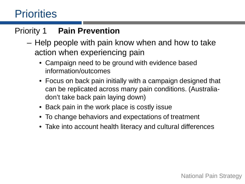### **Priorities**

### Priority 1 **Pain Prevention**

- Help people with pain know when and how to take action when experiencing pain
	- Campaign need to be ground with evidence based information/outcomes
	- Focus on back pain initially with a campaign designed that can be replicated across many pain conditions. (Australiadon't take back pain laying down)
	- Back pain in the work place is costly issue
	- To change behaviors and expectations of treatment
	- Take into account health literacy and cultural differences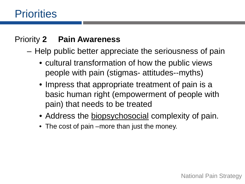### Priority **2 Pain Awareness**

- Help public better appreciate the seriousness of pain
	- cultural transformation of how the public views people with pain (stigmas- attitudes--myths)
	- Impress that appropriate treatment of pain is a basic human right (empowerment of people with pain) that needs to be treated
	- Address the biopsychosocial complexity of pain.
	- The cost of pain –more than just the money.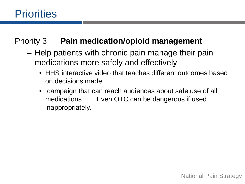### **Priorities**

#### Priority 3 **Pain medication/opioid management**

- Help patients with chronic pain manage their pain medications more safely and effectively
	- HHS interactive video that teaches different outcomes based on decisions made
	- campaign that can reach audiences about safe use of all medications . . . Even OTC can be dangerous if used inappropriately.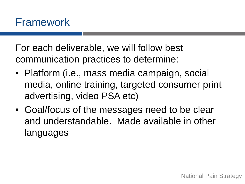For each deliverable, we will follow best communication practices to determine:

- Platform (i.e., mass media campaign, social media, online training, targeted consumer print advertising, video PSA etc)
- Goal/focus of the messages need to be clear and understandable. Made available in other languages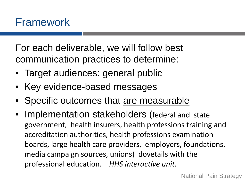For each deliverable, we will follow best communication practices to determine:

- Target audiences: general public
- Key evidence-based messages
- Specific outcomes that are measurable
- Implementation stakeholders (federal and state government, health insurers, health professions training and accreditation authorities, health professions examination boards, large health care providers, employers, foundations, media campaign sources, unions) dovetails with the professional education. *HHS interactive unit.*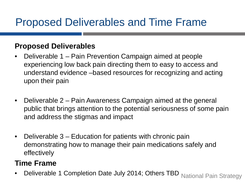### Proposed Deliverables and Time Frame

#### **Proposed Deliverables**

- Deliverable 1 Pain Prevention Campaign aimed at people experiencing low back pain directing them to easy to access and understand evidence –based resources for recognizing and acting upon their pain
- Deliverable 2 Pain Awareness Campaign aimed at the general public that brings attention to the potential seriousness of some pain and address the stigmas and impact
- Deliverable 3 Education for patients with chronic pain demonstrating how to manage their pain medications safely and effectively

#### **Time Frame**

Deliverable 1 Completion Date July 2014; Others TBD National Pain Strategy